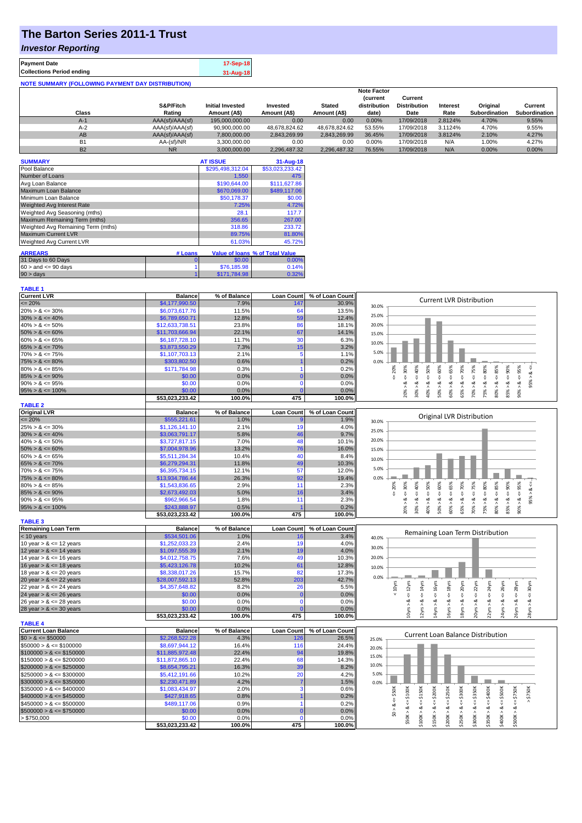# **The Barton Series 2011-1 Trust**

### *Investor Reporting*

**TABLE 1**

| <b>Payment Date</b>                                      | 17-Sep-18 |
|----------------------------------------------------------|-----------|
| <b>Collections Period ending</b>                         | 31-Aug-18 |
| <b>NOTE SUMMARY (FOLLOWING PAYMENT DAY DISTRIBUTION)</b> |           |

|                |                 |                         |               |               | <b>Note Factor</b> |                     |                 |               |               |
|----------------|-----------------|-------------------------|---------------|---------------|--------------------|---------------------|-----------------|---------------|---------------|
|                |                 |                         |               |               | <b>Current</b>     | Current             |                 |               |               |
|                | S&P/Fitch       | <b>Initial Invested</b> | Invested      | <b>Stated</b> | distribution       | <b>Distribution</b> | <b>Interest</b> | Original      | Current       |
| Class          | Rating          | Amount (A\$)            | Amount (A\$)  | Amount (A\$)  | date)              | Date                | Rate            | Subordination | Subordination |
| $A-1$          | AAA(sf)/AAA(sf) | 195,000,000,00          | 0.00          | 0.00          | 0.00%              | 17/09/2018          | 2.8124%         | 4.70%         | 9.55%         |
| $A-2$          | AAA(sf)/AAA(sf) | 90,900,000.00           | 48.678.824.62 | 48.678.824.62 | 53.55%             | 17/09/2018          | 3.1124%         | 4.70%         | 9.55%         |
| AB             | AAA(sf)/AAA(sf) | 7,800,000.00            | 2.843.269.99  | 2.843.269.99  | 36.45%             | 17/09/2018          | 3.8124%         | 2.10%         | 4.27%         |
| B <sub>1</sub> | AA-(sf)/NR      | 3.300.000.00            | 0.00          | 0.00          | 0.00%              | 17/09/2018          | N/A             | 1.00%         | 4.27%         |
| <b>B2</b>      | <b>NR</b>       | 3.000.000.00            | 2.296.487.32  | 2.296.487.32  | 76.55%             | 17/09/2018          | N/A             | $0.00\%$      | 0.00%         |

| <b>SUMMARY</b>                     |         | <b>AT ISSUE</b>  | 31-Aug-18                       |
|------------------------------------|---------|------------------|---------------------------------|
| Pool Balance                       |         | \$295,498,312.04 | \$53,023,233.42                 |
| Number of Loans                    |         | 1,550            | 475                             |
| Avg Loan Balance                   |         | \$190,644.00     | \$111,627.86                    |
| Maximum Loan Balance               |         | \$670,069.00     | \$489,117,06                    |
| Minimum Loan Balance               |         | \$50,178.37      | \$0.00                          |
| <b>Weighted Avg Interest Rate</b>  |         | 7.25%            | 4.72%                           |
| Weighted Avg Seasoning (mths)      |         | 28.1             | 117.7                           |
| Maximum Remaining Term (mths)      |         | 356.65           | 267.00                          |
| Weighted Avg Remaining Term (mths) |         | 318.86           | 233.72                          |
| <b>Maximum Current LVR</b>         |         | 89.75%           | 81.80%                          |
| Weighted Avg Current LVR           |         | 61.03%           | 45.72%                          |
| <b>ARREARS</b>                     | # Loans |                  | Value of Ioans % of Total Value |
| 31 Days to 60 Days                 |         | \$0.00           | 0.00%                           |
|                                    |         |                  |                                 |
| $60 >$ and $\leq 90$ days          |         | \$76,185.98      | 0.14%                           |
| $90 > \text{days}$                 |         | \$171.784.98     | 0.32%                           |

| Current LVR                 | <b>Balance</b>  | % of Balance | Loan Count        | % of Loan Count | <b>Current LVR Distribution</b>                                                                                                                                                        |
|-----------------------------|-----------------|--------------|-------------------|-----------------|----------------------------------------------------------------------------------------------------------------------------------------------------------------------------------------|
| $= 20%$                     | \$4,177,990.50  | 7.9%         | 147               | 30.9%           | 30.0%                                                                                                                                                                                  |
| $20\% > 8 \le 30\%$         | \$6,073,617.76  | 11.5%        | 64                | 13.5%           |                                                                                                                                                                                        |
| $30\% > 8 \le 40\%$         | \$6,789,650.71  | 12.8%        | 59                | 12.4%           | 25.0%                                                                                                                                                                                  |
| $40\% > 8 \le 50\%$         | \$12,633,738.51 | 23.8%        | 86                | 18.1%           | 20.0%                                                                                                                                                                                  |
| $50\% > 8 \le 60\%$         | \$11,703,666.94 | 22.1%        | 67                | 14.1%           | 15.0%                                                                                                                                                                                  |
| $60\% > 8 \le 65\%$         | \$6,187,728.10  | 11.7%        | 3 <sub>C</sub>    | 6.3%            |                                                                                                                                                                                        |
| $65\% > 8 \le 70\%$         | \$3,873,550.29  | 7.3%         | 15                | 3.2%            | 10.0%                                                                                                                                                                                  |
| $70\% > 8 \le 75\%$         | \$1,107,703.13  | 2.1%         |                   | 1.1%            | 5.0%                                                                                                                                                                                   |
| $75\% > 8 \le 80\%$         | \$303,802.50    | 0.6%         |                   | 0.2%            | 0.0%                                                                                                                                                                                   |
| $80\% > 8 \le 85\%$         | \$171,784.98    | 0.3%         |                   | 0.2%            | 50%<br>70%<br>75%<br>20%<br>95%                                                                                                                                                        |
| $85\% > 8 \le 90\%$         | \$0.00          | 0.0%         |                   | 0.0%            | $<=$ 30%<br>$\frac{8}{10}$<br>₩<br>V                                                                                                                                                   |
| $90\% > 8 \le 95\%$         | \$0.00          | 0.0%         | O                 | 0.0%            | $<=$<br>95%<br>ż<br>∞                                                                                                                                                                  |
| $95\% > 8 \le 100\%$        | \$0.00          | 0.0%         |                   | 0.0%            | $50\% > 8 <= 60\%$<br>$60\% > 8 <= 65\%$<br>$30\% > 8 <= 40\%$<br>$75\% > 8 \leq 80\%$<br>$85\% > 8 <= 90\%$<br>$80\% > 8 <= 85\%$<br>$70\% > 8 <=$<br>$-8 < 900$<br>40% ><br>$65\%$ > |
|                             | \$53,023,233.42 | 100.0%       | 475               | 100.0%          | 20%                                                                                                                                                                                    |
| <b>TABLE 2</b>              |                 |              |                   |                 |                                                                                                                                                                                        |
| <b>Original LVR</b>         | <b>Balance</b>  | % of Balance | <b>Loan Count</b> | % of Loan Count |                                                                                                                                                                                        |
| $= 20%$                     | \$555,221.61    | 1.0%         |                   | 1.9%            | Original LVR Distribution                                                                                                                                                              |
| $25\% > 8 \le 30\%$         | \$1,126,141.10  | 2.1%         | 19                | 4.0%            | 30.0%                                                                                                                                                                                  |
| $30\% > 8 \le 40\%$         | \$3,063,791.17  | 5.8%         | 46                | 9.7%            | 25.0%                                                                                                                                                                                  |
| $40\% > 8 \le 50\%$         | \$3,727,817.15  | 7.0%         | 48                | 10.1%           | 20.0%                                                                                                                                                                                  |
| $50\% > 8 \le 60\%$         |                 | 13.2%        | 76                | 16.0%           |                                                                                                                                                                                        |
|                             | \$7,004,978.96  |              | 40                |                 | 15.0%                                                                                                                                                                                  |
| $60\% > 8 \le 65\%$         | \$5,511,284.34  | 10.4%        |                   | 8.4%            | 10.0%                                                                                                                                                                                  |
| $65\% > 8 \le 70\%$         | \$6,279,294.31  | 11.8%        | 49                | 10.3%           | 5.0%                                                                                                                                                                                   |
| $70\% > 8 \le 75\%$         | \$6,395,734.15  | 12.1%        | 57                | 12.0%           |                                                                                                                                                                                        |
| $75\% > 8 \le 80\%$         | \$13,934,786.44 | 26.3%        | 92                | 19.4%           | 0.0%                                                                                                                                                                                   |
| $80\% > 8 \le 85\%$         | \$1,543,836.65  | 2.9%         | 11                | 2.3%            | $& \Leftarrow 85\%$<br>$4 = 90\%$<br>$<=60%$<br>$4 = 65\%$<br>70%<br>$4 = 75\%$<br>480%<br>30%<br>40%<br>50%<br>95%<br>20%<br>8 < 1                                                    |
| $85\% > 8 \le 90\%$         | \$2,673,492.03  | 5.0%         | 16                | 3.4%            | ₩<br>₩<br>v<br>₩<br>₩                                                                                                                                                                  |
| $90\% > 8 \le 95\%$         | \$962,966.54    | 1.8%         | 11                | 2.3%            | 95%<br>ಷ<br>ಷ<br>85% > 8.<br>∞<br>త<br>ø<br>œ<br>ಷ<br>ಷ                                                                                                                                |
| $95\% > 8 \le 100\%$        | \$243,888.97    | 0.5%         |                   | 0.2%            | 50% ><br>60% ><br>70% ><br>75% ><br>80% ><br>90%<br>20% ><br>30% ><br>40% ><br>65%                                                                                                     |
|                             | \$53,023,233.42 | 100.0%       | 475               | 100.0%          |                                                                                                                                                                                        |
| <b>TABLE 3</b>              |                 |              |                   |                 |                                                                                                                                                                                        |
| <b>Remaining Loan Term</b>  | <b>Balance</b>  | % of Balance | <b>Loan Count</b> | % of Loan Count | Remaining Loan Term Distribution                                                                                                                                                       |
| $<$ 10 years                | \$534,501.06    | 1.0%         | 16                | 3.4%            | 40.0%                                                                                                                                                                                  |
| 10 year $> 8 \le 12$ years  | \$1,252,033.23  | 2.4%         | 19                | 4.0%            | 30.0%                                                                                                                                                                                  |
| 12 year $> 8 \le 14$ years  | \$1,097,555.39  | 2.1%         | 19                | 4.0%            |                                                                                                                                                                                        |
| 14 year $> 8 \le 16$ years  | \$4,012,758.75  | 7.6%         | 49                | 10.3%           | 20.0%                                                                                                                                                                                  |
| 16 year $> 8 \le 18$ years  | \$5,423,126.78  | 10.2%        | 61                | 12.8%           | 10.0%                                                                                                                                                                                  |
| 18 year $> 8 \le 20$ years  | \$8,338,017.26  | 15.7%        | 82                | 17.3%           |                                                                                                                                                                                        |
| 20 year $> 8 \le 22$ years  | \$28,007,592.13 | 52.8%        | 203               | 42.7%           | 0.0%                                                                                                                                                                                   |
| 22 year $> 8 \le 24$ years  | \$4,357,648.82  | 8.2%         | 26                | 5.5%            | $4 = 16$ yrs<br>$4 = 18$ yrs<br>20yrs<br>22yrs<br>< 10yrs<br>$4 = 12$ yrs<br>$\leq 14$ yrs<br>30yrs                                                                                    |
| 24 year $> 8 \le 26$ years  | \$0.00          | 0.0%         | $\Omega$          | 0.0%            | $\epsilon$ = 24yrs<br>$\leq$ 26yrs<br>$\leq$ 28yrs<br>IJ,<br>IJ.<br>₩                                                                                                                  |
| 26 year $> 8 \le 28$ years  | \$0.00          | 0.0%         | $\mathbf 0$       | 0.0%            | ವ<br>ಷ<br>ø<br>ಹ<br>ವ<br>ø<br>∞                                                                                                                                                        |
| 28 year $> 8 \le 30$ years  | \$0.00          | 0.0%         |                   | 0.0%            | 14yrs > 8<br>24yrs > 8<br>12yrs<br>16yrs<br>L8yrs ><br>22yrs ><br>26yrs<br>LOyrs >                                                                                                     |
|                             | \$53,023,233.42 | 100.0%       | 475               | 100.0%          | 20yrs<br>28yrs                                                                                                                                                                         |
| <b>TABLE 4</b>              |                 |              |                   |                 |                                                                                                                                                                                        |
| <b>Current Loan Balance</b> | <b>Balance</b>  | % of Balance | <b>Loan Count</b> | % of Loan Count |                                                                                                                                                                                        |
| $$0 > 8 \le $50000$         | \$2,268,522.28  | 4.3%         | 126               | 26.5%           | <b>Current Loan Balance Distribution</b><br>25.0%                                                                                                                                      |
| $$50000 > 8 \le $100000$    | \$8,697,944.12  | 16.4%        | 116               | 24.4%           | 20.0%                                                                                                                                                                                  |
| $$100000 > 8 \leq $150000$  | \$11,885,972.48 | 22.4%        | 94                | 19.8%           |                                                                                                                                                                                        |
| $$150000 > 8 \leq $200000$  | \$11,872,865.10 | 22.4%        | 68                | 14.3%           | 15.0%                                                                                                                                                                                  |
| $$200000 > 8 \leq $250000$  | \$8,654,795.21  | 16.3%        | 39                | 8.2%            | 10.0%                                                                                                                                                                                  |
| $$250000 > 8 \leq $300000$  | \$5,412,191.66  | 10.2%        | 20                | 4.2%            | 5.0%                                                                                                                                                                                   |
| $$300000 > 8 \leq $350000$  | \$2,230,471.89  | 4.2%         |                   | 1.5%            | 0.0%                                                                                                                                                                                   |
| $$350000 > 8 \leq $400000$  | \$1,083,434.97  | 2.0%         |                   | 0.6%            |                                                                                                                                                                                        |
| $$400000 > 8 \leq $450000$  | \$427,918.65    | 0.8%         |                   | 0.2%            | $>$ \$750K<br>\$50K<br>\$150K<br>$4 = $300K$<br>$4 = $200K$<br><b>\$250K</b>                                                                                                           |
| $$450000 > 8 \leq $500000$  | \$489,117.06    | 0.9%         |                   | 0.2%            | V                                                                                                                                                                                      |
|                             |                 |              |                   |                 | $$50K > 8 <= $100K$<br>$$300K > 8 < - $350K$<br>$$350K > 8 <= $400K$<br>$$400K > 8 <= $500K$<br>$$500K > 8 <= $750K$<br>$$100K > 8 <=$<br>\$0 > 8.                                     |
| $$500000 > 8 \leq $750000$  | \$0.00          | 0.0%         |                   | 0.0%            | \$150K > 8<br>\$250K > 8<br>\$200K > 8                                                                                                                                                 |
| > \$750,000                 | \$0.00          | 0.0%         | $\Omega$          | 0.0%            |                                                                                                                                                                                        |
|                             | \$53,023,233.42 | 100.0%       | 475               | 100.0%          |                                                                                                                                                                                        |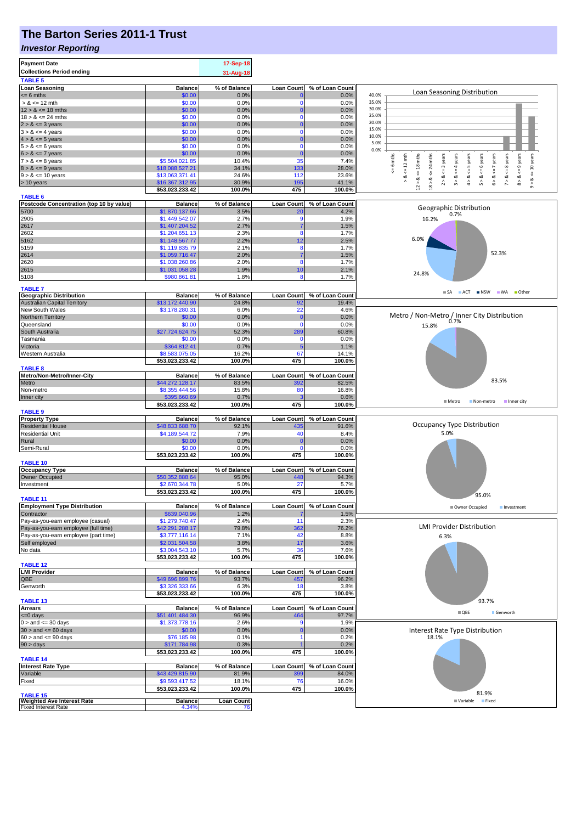# **The Barton Series 2011-1 Trust**

#### *Investor Reporting*

| <b>Payment Date</b><br><b>Collections Period ending</b>    |                                   | 17-Sep-18<br>31-Aug-18 |                          |                          |                                                                                                                                                                                                              |
|------------------------------------------------------------|-----------------------------------|------------------------|--------------------------|--------------------------|--------------------------------------------------------------------------------------------------------------------------------------------------------------------------------------------------------------|
| <b>TABLE 5</b>                                             |                                   |                        |                          |                          |                                                                                                                                                                                                              |
| <b>Loan Seasoning</b><br>$= 6$ mths                        | <b>Balance</b><br>\$0.00          | % of Balance<br>0.0%   | <b>Loan Count</b>        | % of Loan Count<br>0.0%  | Loan Seasoning Distribution<br>40.0%                                                                                                                                                                         |
| $> 8 \le 12$ mth                                           | \$0.00                            | 0.0%                   | -0                       | 0.0%                     | 35.0%                                                                                                                                                                                                        |
| $12 > 8 \le 18$ mths                                       | \$0.00                            | 0.0%                   | $\Omega$                 | 0.0%                     | 30.0%                                                                                                                                                                                                        |
| $18 > 8 \le 24$ mths                                       | \$0.00                            | 0.0%                   |                          | 0.0%                     | 25.0%<br>20.0%                                                                                                                                                                                               |
| $2 > 8 \le 3$ years<br>$3 > 8 \le 4$ years                 | \$0.00<br>\$0.00                  | 0.0%<br>0.0%           | $\Omega$                 | 0.0%<br>0.0%             | 15.0%                                                                                                                                                                                                        |
| $4 > 8 \le 5$ years                                        | \$0.00                            | 0.0%                   | 0                        | 0.0%                     | 10.0%                                                                                                                                                                                                        |
| $5 > 8 \le 6$ years                                        | \$0.00                            | 0.0%                   | $\Omega$                 | 0.0%                     | 5.0%<br>0.0%                                                                                                                                                                                                 |
| $6 > 8 \le 7$ years                                        | \$0.00                            | 0.0%                   | $\Omega$                 | 0.0%                     |                                                                                                                                                                                                              |
| $7 > 8 \le 8$ years<br>$8 > 8 \le 9$ years                 | \$5,504,021.85<br>\$18,088,527.21 | 10.4%<br>34.1%         | 35<br>133                | 7.4%<br>28.0%            | $\leq$ 8 years<br>$8 > 8 < 9$ years<br>$\le$ = 10 years<br>6 mths<br>24 mths<br>$2 > 8 < 3$ years<br>$4 > 8$ <= 5 years<br>$5 > 8 <$ = 6 years<br>$6 > 8 < z < 7$ years<br>$\leq 12$ mth<br>$\leq$ = 4 years |
| $9 > 8 \le 10$ years                                       | \$13,063,371.41                   | 24.6%                  | 112                      | 23.6%                    | $\stackrel{\scriptscriptstyle \text{II}}{\mathsf{v}}$                                                                                                                                                        |
| > 10 years                                                 | \$16,367,312.95                   | 30.9%                  | 195                      | 41.1%                    | $12 > 8$ <= 18 mths<br>$\frac{8}{1}$<br>3 > 8<br>$7 > 8$ .<br>$18 > 8$<br>ಷ<br>$\hat{\circ}$                                                                                                                 |
|                                                            | \$53,023,233.42                   | 100.0%                 | 475                      | 100.0%                   |                                                                                                                                                                                                              |
| <b>TABLE 6</b><br>Postcode Concentration (top 10 by value) | <b>Balance</b>                    | % of Balance           | <b>Loan Count</b>        | % of Loan Count          |                                                                                                                                                                                                              |
| 5700                                                       | \$1,870,137.66                    | 3.5%                   | <b>20</b>                | 4.2%                     | Geographic Distribution<br>0.7%                                                                                                                                                                              |
| 2905                                                       | \$1,449,542.07                    | 2.7%                   | .g                       | 1.9%                     | 16.2%                                                                                                                                                                                                        |
| 2617                                                       | \$1,407,204.52                    | 2.7%<br>2.3%           | 8                        | 1.5%<br>1.7%             |                                                                                                                                                                                                              |
| 2602<br>5162                                               | \$1,204,651.13<br>\$1,148,567.77  | 2.2%                   | 12                       | 2.5%                     | 6.0%                                                                                                                                                                                                         |
| 5159                                                       | \$1,119,835.79                    | 2.1%                   | 8                        | 1.7%                     |                                                                                                                                                                                                              |
| 2614                                                       | \$1,059,716.47                    | 2.0%                   |                          | 1.5%                     | 52.3%                                                                                                                                                                                                        |
| 2620                                                       | \$1,038,260.86                    | 2.0%                   | 8                        | 1.7%                     |                                                                                                                                                                                                              |
| 2615<br>5108                                               | \$1,031,058.28<br>\$980,861.81    | 1.9%<br>1.8%           | 10<br>8                  | 2.1%<br>1.7%             | 24.8%                                                                                                                                                                                                        |
|                                                            |                                   |                        |                          |                          |                                                                                                                                                                                                              |
| <b>TABLE 7</b><br><b>Geographic Distribution</b>           | <b>Balance</b>                    | % of Balance           | <b>Loan Count</b>        | % of Loan Count          | SA ACT INSW WA Other                                                                                                                                                                                         |
| <b>Australian Capital Territory</b>                        | \$13,172,440.90                   | 24.8%                  | 92                       | 19.4%                    |                                                                                                                                                                                                              |
| New South Wales                                            | \$3,178,280.31                    | 6.0%                   | 22                       | 4.6%                     |                                                                                                                                                                                                              |
| Northern Territory                                         | \$0.00                            | 0.0%                   | $\Omega$                 | 0.0%                     | Metro / Non-Metro / Inner City Distribution                                                                                                                                                                  |
| Queensland<br>South Australia                              | \$0.00                            | 0.0%                   | $\Omega$                 | 0.0%                     | 15.8%                                                                                                                                                                                                        |
| Tasmania                                                   | \$27,724,624.75<br>\$0.00         | 52.3%<br>0.0%          | 289<br>$\Omega$          | 60.8%<br>0.0%            |                                                                                                                                                                                                              |
| Victoria                                                   | \$364,812.41                      | 0.7%                   | 5                        | 1.1%                     |                                                                                                                                                                                                              |
| Western Australia                                          | \$8,583,075.05                    | 16.2%                  | 67                       | 14.1%                    |                                                                                                                                                                                                              |
| <b>TABLE 8</b>                                             | \$53,023,233.42                   | 100.0%                 | 475                      | 100.0%                   |                                                                                                                                                                                                              |
| Metro/Non-Metro/Inner-City                                 | <b>Balance</b>                    | % of Balance           | <b>Loan Count</b>        | % of Loan Count          |                                                                                                                                                                                                              |
| Metro                                                      | \$44,272,128.17                   | 83.5%                  | 392                      | 82.5%                    | 83.5%                                                                                                                                                                                                        |
| Non-metro                                                  | \$8,355,444.56                    | 15.8%                  | 80                       | 16.8%                    |                                                                                                                                                                                                              |
| Inner city                                                 | \$395,660.69<br>\$53,023,233.42   | 0.7%<br>100.0%         | 475                      | 0.6%<br>100.0%           | <b>■ Metro</b><br>Non-metro<br>Inner city                                                                                                                                                                    |
| <b>TABLE 9</b>                                             |                                   |                        |                          |                          |                                                                                                                                                                                                              |
| <b>Property Type</b>                                       | <b>Balance</b>                    | % of Balance           | <b>Loan Count</b>        | % of Loan Count          |                                                                                                                                                                                                              |
| <b>Residential House</b>                                   | \$48,833,688.70                   | 92.1%                  | 435                      | 91.6%                    | Occupancy Type Distribution                                                                                                                                                                                  |
| <b>Residential Unit</b><br>Rural                           | \$4,189,544.72<br>\$0.00          | 7.9%<br>0.0%           | 40<br>$\mathbf 0$        | 8.4%<br>0.0%             | 5.0%                                                                                                                                                                                                         |
| Semi-Rural                                                 | \$0.00                            | 0.0%                   | $\Omega$                 | 0.0%                     |                                                                                                                                                                                                              |
|                                                            | \$53,023,233.42                   | 100.0%                 | 475                      | 100.0%                   |                                                                                                                                                                                                              |
| <b>TABLE 10</b>                                            |                                   |                        |                          |                          |                                                                                                                                                                                                              |
| <b>Occupancy Type</b><br><b>Owner Occupied</b>             | <b>Balance</b><br>\$50,352,888.64 | % of Balance<br>95.0%  | <b>Loan Count</b><br>448 | % of Loan Count<br>94.3% |                                                                                                                                                                                                              |
| Investment                                                 | \$2,670,344.78                    | 5.0%                   | 27                       | 5.7%                     |                                                                                                                                                                                                              |
|                                                            | \$53,023,233.42                   | 100.0%                 | 475                      | 100.0%                   | 95.0%                                                                                                                                                                                                        |
| <b>TABLE 11</b>                                            |                                   |                        |                          |                          |                                                                                                                                                                                                              |
| <b>Employment Type Distribution</b><br>Contractor          | <b>Balance</b><br>\$639,040.96    | % of Balance<br>1.2%   | <b>Loan Count</b>        | % of Loan Count<br>1.5%  | Owner Occupied<br>Investment                                                                                                                                                                                 |
| Pay-as-you-earn employee (casual)                          | \$1,279,740.47                    | 2.4%                   | 11                       | 2.3%                     |                                                                                                                                                                                                              |
| Pay-as-you-earn employee (full time)                       | \$42,291,288.17                   | 79.8%                  | 362                      | 76.2%                    | <b>LMI Provider Distribution</b>                                                                                                                                                                             |
| Pay-as-you-earn employee (part time)                       | \$3,777,116.14                    | 7.1%                   | 42                       | 8.8%                     | 6.3%                                                                                                                                                                                                         |
| Self employed<br>No data                                   | \$2,031,504.58<br>\$3,004,543.10  | 3.8%<br>5.7%           | 17<br>36                 | 3.6%<br>7.6%             |                                                                                                                                                                                                              |
|                                                            | \$53,023,233.42                   | 100.0%                 | 475                      | 100.0%                   |                                                                                                                                                                                                              |
| <b>TABLE 12</b>                                            |                                   |                        |                          |                          |                                                                                                                                                                                                              |
| <b>LMI Provider</b>                                        | <b>Balance</b>                    | % of Balance           | <b>Loan Count</b>        | % of Loan Count          |                                                                                                                                                                                                              |
| QBE<br>Genworth                                            | \$49,696,899.76<br>\$3,326,333.66 | 93.7%<br>6.3%          | 457<br>18                | 96.2%<br>3.8%            |                                                                                                                                                                                                              |
|                                                            | \$53,023,233.42                   | 100.0%                 | 475                      | 100.0%                   |                                                                                                                                                                                                              |
| <b>TABLE 13</b>                                            |                                   |                        |                          |                          | 93.7%                                                                                                                                                                                                        |
| <b>Arrears</b>                                             | <b>Balance</b>                    | % of Balance           | <b>Loan Count</b>        | % of Loan Count          | $\blacksquare$ QBE<br>Genworth                                                                                                                                                                               |
| $= 0$ days<br>$0 >$ and $\leq 30$ days                     | \$51,401,484.30<br>\$1,373,778.16 | 96.9%<br>2.6%          | 464<br>.c                | 97.7%<br>1.9%            |                                                                                                                                                                                                              |
| $30 >$ and $\leq 60$ days                                  | \$0.00                            | 0.0%                   |                          | 0.0%                     | Interest Rate Type Distribution                                                                                                                                                                              |
| $60 >$ and $\leq 90$ days                                  | \$76,185.98                       | 0.1%                   |                          | 0.2%                     | 18.1%                                                                                                                                                                                                        |
| 90 > days                                                  | \$171,784.98                      | 0.3%                   |                          | 0.2%                     |                                                                                                                                                                                                              |
| <b>TABLE 14</b>                                            | \$53,023,233.42                   | 100.0%                 | 475                      | 100.0%                   |                                                                                                                                                                                                              |
| <b>Interest Rate Type</b>                                  | <b>Balance</b>                    | % of Balance           | <b>Loan Count</b>        | % of Loan Count          |                                                                                                                                                                                                              |
| Variable                                                   | \$43,429,815.90                   | 81.9%                  | 399                      | 84.0%                    |                                                                                                                                                                                                              |
| Fixed                                                      | \$9,593,417.52                    | 18.1%                  | 76                       | 16.0%                    |                                                                                                                                                                                                              |
| <b>TABLE 15</b>                                            | \$53,023,233.42                   | 100.0%                 | 475                      | 100.0%                   | 81.9%                                                                                                                                                                                                        |
| <b>Weighted Ave Interest Rate</b>                          | <b>Balance</b>                    | <b>Loan Count</b>      |                          |                          | Variable Fixed                                                                                                                                                                                               |
| <b>Fixed Interest Rate</b>                                 | 4.34%                             | 76                     |                          |                          |                                                                                                                                                                                                              |